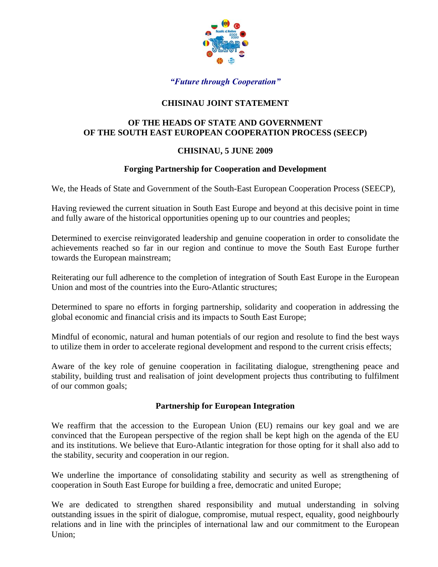

# *"Future through Cooperation"*

# **CHISINAU JOINT STATEMENT**

#### **OF THE HEADS OF STATE AND GOVERNMENT OF THE SOUTH EAST EUROPEAN COOPERATION PROCESS (SEECP)**

#### **CHISINAU, 5 JUNE 2009**

#### **Forging Partnership for Cooperation and Development**

We, the Heads of State and Government of the South-East European Cooperation Process (SEECP),

Having reviewed the current situation in South East Europe and beyond at this decisive point in time and fully aware of the historical opportunities opening up to our countries and peoples;

Determined to exercise reinvigorated leadership and genuine cooperation in order to consolidate the achievements reached so far in our region and continue to move the South East Europe further towards the European mainstream;

Reiterating our full adherence to the completion of integration of South East Europe in the European Union and most of the countries into the Euro-Atlantic structures;

Determined to spare no efforts in forging partnership, solidarity and cooperation in addressing the global economic and financial crisis and its impacts to South East Europe;

Mindful of economic, natural and human potentials of our region and resolute to find the best ways to utilize them in order to accelerate regional development and respond to the current crisis effects;

Aware of the key role of genuine cooperation in facilitating dialogue, strengthening peace and stability, building trust and realisation of joint development projects thus contributing to fulfilment of our common goals;

#### **Partnership for European Integration**

We reaffirm that the accession to the European Union (EU) remains our key goal and we are convinced that the European perspective of the region shall be kept high on the agenda of the EU and its institutions. We believe that Euro-Atlantic integration for those opting for it shall also add to the stability, security and cooperation in our region.

We underline the importance of consolidating stability and security as well as strengthening of cooperation in South East Europe for building a free, democratic and united Europe;

We are dedicated to strengthen shared responsibility and mutual understanding in solving outstanding issues in the spirit of dialogue, compromise, mutual respect, equality, good neighbourly relations and in line with the principles of international law and our commitment to the European Union;